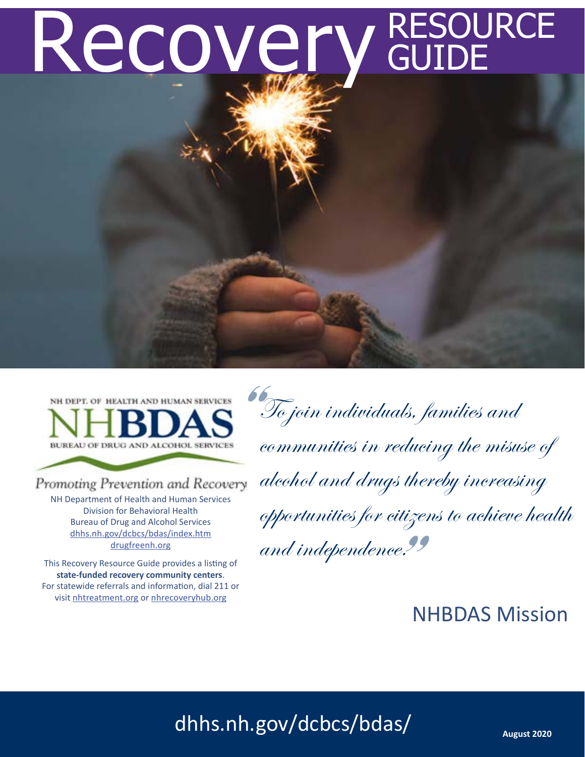# Recovery RESOURCE **GUIDE**

CES CES **BUREAL** 

Promoting Prevention and Recovery NH Department of Health and Human Services Division for Behavioral Health

Bureau of Drug and Alcohol Services <dhhs.nh.gov/dcbcs/bdas/index.htm> [drugfreenh.org](http://drugfreenh.org)

This Recovery Resource Guide provides a listing of **state-funded recovery community centers**. For statewide referrals and information, dial 211 or visit [nhtreatment.org](http://nhtreatment.org.) or nhrecoveryhub.org

To join individuals, families and communities in reducing the misuse of alcohol and drugs thereby increasing opportunities for citizens to achieve health and independence. v citi;<br>nce*:*<br>

## NHBDAS Mission

# [dhhs.nh.gov/dcbcs/bdas/](http://dhhs.nh.gov/dcbcs/bdas/)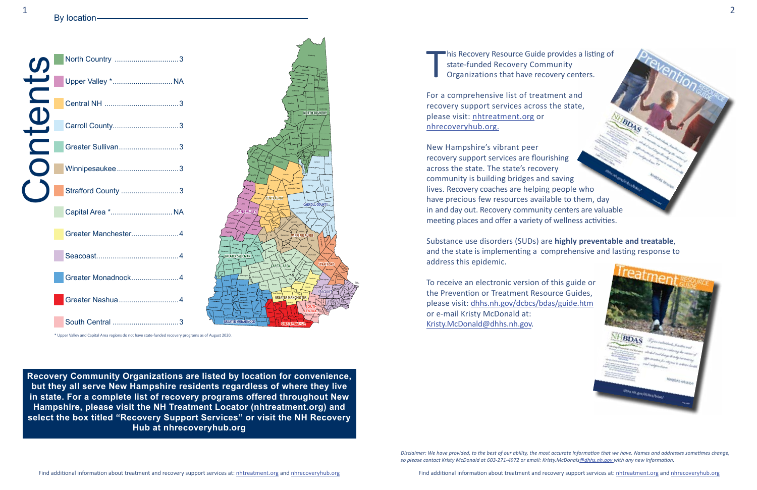Bethlehem Bath Jackson Franconia / 11/2/20 Jackson

Whitefield

Castle

Pittsburg

Lincoln

Alton

Errol

Milan

Stark

Albany

Berlin

Lyme

Sandwich

Waterville Valley

Stratford

Ossipee

Weare

Conway

Hill

Concord

**Goffstown** 

Warner

Orford

Unity

**Acworth** 

Canaan

Dixville

Littleton

Benton

**Landaff** 

Sutton

Warren

Derry

Franconia

Bow

Columbia

Livermore

**Gilford** 

Chatham

Enfield

**Hanover** 

Meredith

Center Harbor

Loudon

**Chichest**<br>E

Allenstown

Clarksville

Tamworth

**Bartlett** 

Haverhill

Groton

Jaffrey

Stoddard

Plainfield

Deerfield

Campton

Keene

Milton

Wolfeboro

**Strafford** 

Grafton

Thornton

Antrim

Window

**Hancock** 

Rindge

Jefferson

Lee

Woodstock

Alstead

Millsfield

Newport

Lancaster

Rumney

**Ellsworth** 

Henniker

**Gilsum** Sullivan

Swanzey

Epsom

Andover

Randolph

La <sub>Burbanks Grant</sub>

Dover

Madison

Shelburne

Lebanon

Barrington

Moultonborough

**Gilmanton** 

Dublin

Tuftonboro

Sargents Purchase Harts Location

Hopkinton

Atkinson Newton

Hampson Mag

Easton

Piermont

Rochester

Wakefield

Croydon

Grantham

Barnstead

Eaton

Dalton

Salisbury

Newbury

Candia

Wentworth Location

Lyman

Freedom

Bedford

Thompsons and **Meserves Purchase** 

**Dummer** 

Springfield

Hooksett

References

Bradford

Crawfords Purchase  $\beta$ 

Alexandria

**Danbury** 

Dorchester

Salem

Lisbon

#### By location  $\frac{1}{2}$

Washington

Colebrook

Gorham

Auburn

Londonderry

Deering

Greenfield

Beans Purchase

Effingham

Troy

Mariagh

Roxbury R

Wentworth

Belmont

Epping

Kingston<br>1

**Plays** 

Brentwood **Hampton School School School School School School School School School School School School School School School** 

Richmond

Franklin

Boscawen

Marlow

Hillsborough

Peterborough

New Boston

Pelham

Bristol

Lempster



Stewartstown

Fitzwilliam

Webster

New Durham

Nelson

Chester

Laconia

Rye

Farmington

Merrimack

Literal<br>Literal

Holderness

Monroe

Durham

Madbury

Orange

Raymond

Exeter

Plymouth

Kilkenny

**Odel** 

Northfield

Temple

Dunbarton

**Canterbury** 

Windham

Pittsfield Goshen

Sunapee

Northwood

New Ipswich

Hebron

**Carroll** 

Francestown

Lyndeborough

Brookfield

**Mandon** 

Not ingham

Northumberland

Tilton

**Sanbornton** 

New Hampton

**Ashland** 

Sharon

Brookline

Fremont

Harrisville

New London

Wilmot

Second College **Grant** Dixs Grant

Sugar Hill

Stratham

Greenland

Portsmouth



Newmarket

Newington

Bennington

Seabrook

Cutts

North Hampton Hampton Falls

Grant

Newfields

Kensing<br>Kensing

East Kingston

Greenville

Atkinson and Gilmanton Academy Grant

**Cambridge** 

**Success** 

South Hampton

Hadleys Purchase

Hales

Purchase

**SOUTH CENTRAL** T his Recovery Resource Guide provides a listing of state-funded Recovery Community Organizations that have recovery centers.

For a comprehensive list of treatment and recovery support services across the state, please visit: nhtreatment.org or nhrecoveryhub.org.

New Hampshire's vibrant peer recovery support services are flourishing across the state. The state's recovery community is building bridges and saving lives. Recovery coaches are helping people who have precious few resources available to them, day in and day out. Recovery community centers are valuable meeting places and offer a variety of wellness activities.

Substance use disorders (SUDs) are **highly preventable and treatable**, and the state is implementing a comprehensive and lasting response to address this epidemic.

To receive an electronic version of this guide or the Prevention or Treatment Resource Guides, please visit: dhhs.nh.gov/dcbcs/bdas/guide.htm or e-mail Kristy McDonald at: Kristy.McDonald@dhhs.nh.gov.

*Disclaimer: We have provided, to the best of our ability, the most accurate information that we have. Names and addresses sometimes change, so please contact Kristy McDonald at 603-271-4972 or email: Kristy.McDonals[@dhhs.nh.gov w](mailto:Randolph.Moser%40dhhs.nh.gov%20?subject=Treatment%20Resource%20Guide)ith any new information.* 



Find additional information about treatment and recovery support services at: [nhtreatment.org](http://nhtreatment.org/) and nhrecoveryhub.org

**Recovery Community Organizations are listed by location for convenience, but they all serve New Hampshire residents regardless of where they live in state. For a complete list of recovery programs offered throughout New Hampshire, please visit the NH Treatment Locator (nhtreatment.org) and select the box titled "Recovery Support Services" or visit the NH Recovery Hub at nhrecoveryhub.org**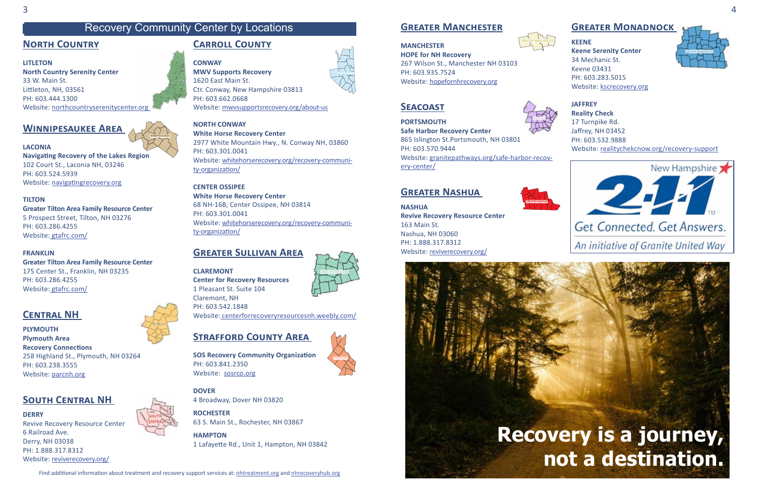### **North Country**

**LITLETON North Country Serenity Center** 33 W. Main St. Littleton, NH, 03561 PH: 603.444.1300 Website: [northcountryserenitycenter.org](https://northcountryserenitycenter.org/) 

#### **Winnipesaukee Area**



**Navigating Recovery of the Lakes Region**  102 Court St., Laconia NH, 03246 PH: 603.524.5939 Website: [navigatingrecovery.org](http://www.navigatingrecovery.org/)

Revive Recovery Resource Center 6 Railroad Ave. Derry, NH 03038 PH: 1.888.317.8312 Website: [reviverecovery.org/](https://reviverecovery.org/)

**TILTON** 

**Greater Tilton Area Family Resource Center** 5 Prospect Street, Tilton, NH 03276 PH: 603.286.4255 Website: [gtafrc.com/](https://www.gtafrc.com/)

#### **FRANKLIN**

**Greater Tilton Area Family Resource Center** 175 Center St., Franklin, NH 03235 PH: 603.286.4255 Website: [gtafrc.com/](https://www.gtafrc.com/)

## **Central NH**

**PLYMOUTH Plymouth Area Recovery Connections** 258 Highland St., Plymouth, NH 03264 PH: 603.238.3555 Website: [parcnh.org](http://parcnh.org/)

## **South Central NH**

#### **DERRY**

#### **Carroll County**

**CONWAY MWV Supports Recovery** 1620 East Main St. Ctr. Conway, New Hampshire 03813 PH: 603.662.0668 Website: [mwvsupportsrecovery.org/about-us](https://www.mwvsupportsrecovery.org/)

> **NASHUA Revive Recovery Resource Center** 163 Main St. Nashua, NH 03060 PH: 1.888.317.8312 Website: [reviverecovery.org/](https://reviverecovery.org/)



Find additional information about treatment and recovery support services at: [nhtreatment.org](http://nhtreatment.org/) and nhrecoveryhub.org



**NORTH CONWAY**

**White Horse Recovery Center** 2977 White Mountain Hwy., N. Conway NH, 03860 PH: 603.301.0041 Website: [whitehorserecovery.org/recovery-communi](https://whitehorserecovery.org/recovery-community-organization/)[ty-organization/](https://whitehorserecovery.org/recovery-community-organization/)

**CENTER OSSIPEE White Horse Recovery Center** 68 NH-16B, Center Ossipee, NH 03814 PH: 603.301.0041 Website: [whitehorserecovery.org/recovery-communi](https://whitehorserecovery.org/recovery-community-organization/)[ty-organization/](https://whitehorserecovery.org/recovery-community-organization/)

#### **Greater Sullivan Area**

**CLAREMONT Center for Recovery Resources** 1 Pleasant St. Suite 104 Claremont, NH PH: 603.542.1848 Website: centerforrecoveryresourcesnh.weebly.com/

#### <span id="page-2-1"></span>**Strafford County Area**

**SOS Recovery Community Organization** PH: 603.841.2350 Website: [sosrco.org](https://straffordrecovery.org/)

**DOVER** 4 Broadway, Dover NH 03820

**ROCHESTER** 63 S. Main St., Rochester, NH 03867

**HAMPTON** 1 Lafayette Rd., Unit 1, Hampton, NH 03842

## Recovery Community Center by Locations

**WINNIPESAUKEE**





**GREATER MANCHESTER**



#### **Greater Manchester**

### **MANCHESTER**

**HOPE for NH Recovery**

267 Wilson St., Manchester NH 03103

PH: 603.935.7524

Website: [hopefornhrecovery.org](http://www.hopefornhrecovery.org/)



**Safe Harbor Recovery Center**

865 Islington St.Portsmouth, NH 03801

PH: 603.570.9444

Website: [granitepathways.org/safe-harbor-recov-](http://granitepathwaysnh.org/safe-harbor-recovery-center/)

[ery-center/](http://granitepathwaysnh.org/safe-harbor-recovery-center/)

#### **Greater Nashua**

### **Greater Monadnock**

**KEENE**

**Keene Serenity Center** 34 Mechanic St. Keene 03431 PH: 603.283.5015 Website: [kscrecovery.org](https://www.kscrecovery.org/)



**JAFFREY Reality Check** 17 Turnpike Rd. Jaffrey, NH 03452 PH: 603.532.9888 Website: [realitychekcnow.org/recovery-support](https://www.realitychecknow.org/recovery-support)

<span id="page-2-0"></span>



# **Recovery is a journey, not a destination.**